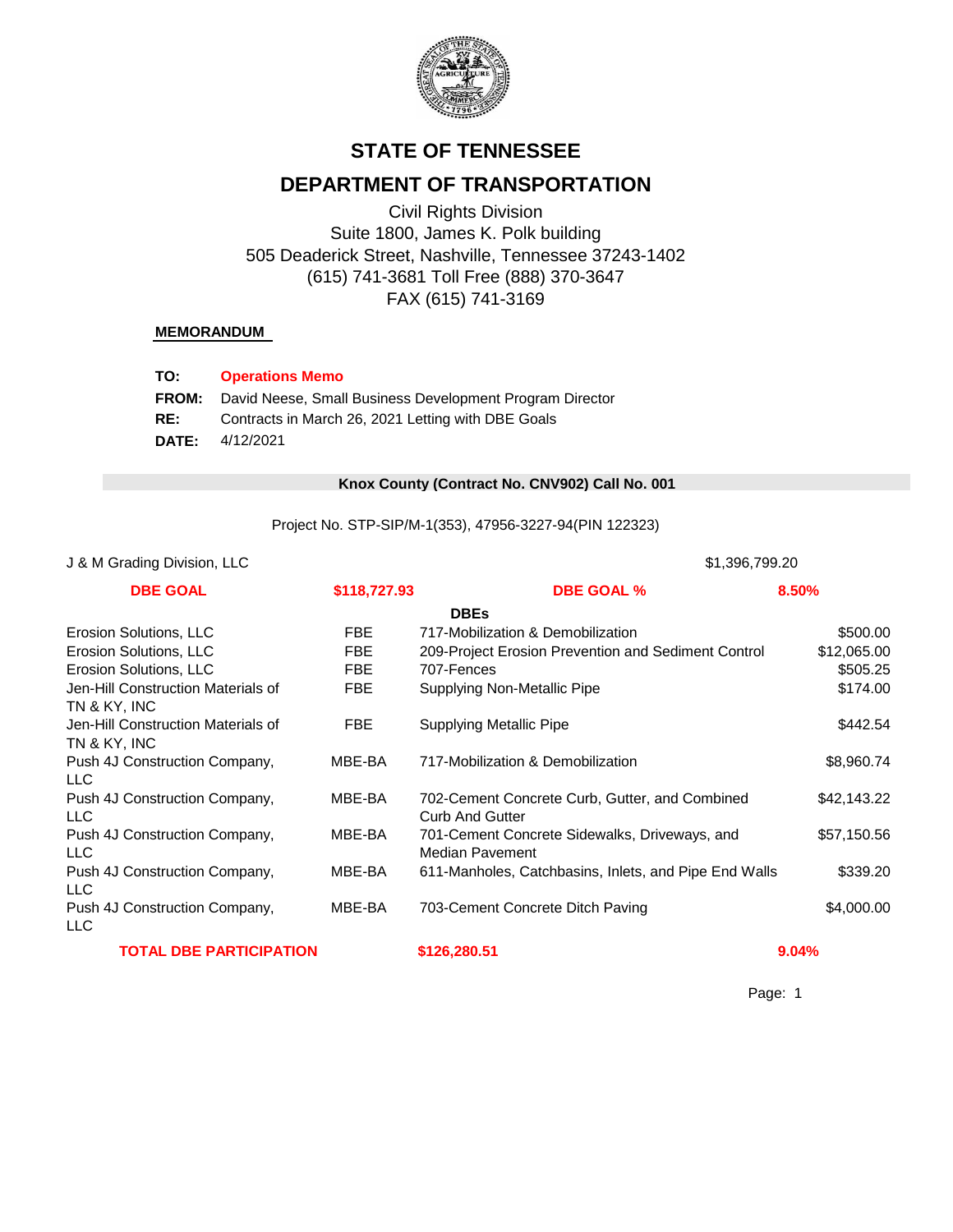

# **STATE OF TENNESSEE**

# **DEPARTMENT OF TRANSPORTATION**

Civil Rights Division Suite 1800, James K. Polk building 505 Deaderick Street, Nashville, Tennessee 37243-1402 (615) 741-3681 Toll Free (888) 370-3647 FAX (615) 741-3169

#### **MEMORANDUM**

| TO:          | <b>Operations Memo</b>                                   |
|--------------|----------------------------------------------------------|
| <b>FROM:</b> | David Neese, Small Business Development Program Director |
| RE:          | Contracts in March 26, 2021 Letting with DBE Goals       |
| <b>DATE:</b> | 4/12/2021                                                |

#### 0 **Knox County (Contract No. CNV902) Call No. 001**

Project No. STP-SIP/M-1(353), 47956-3227-94(PIN 122323)

#### J & M Grading Division, LLC 31,396,799.20

| <b>DBE GOAL</b>                                    | \$118,727.93 | <b>DBE GOAL %</b>                                                        | 8.50%       |
|----------------------------------------------------|--------------|--------------------------------------------------------------------------|-------------|
|                                                    |              | <b>DBEs</b>                                                              |             |
| Erosion Solutions, LLC                             | FBE          | 717-Mobilization & Demobilization                                        | \$500.00    |
| Erosion Solutions, LLC                             | <b>FBE</b>   | 209-Project Erosion Prevention and Sediment Control                      | \$12,065.00 |
| Erosion Solutions, LLC                             | <b>FBE</b>   | 707-Fences                                                               | \$505.25    |
| Jen-Hill Construction Materials of<br>TN & KY, INC | FBE          | Supplying Non-Metallic Pipe                                              | \$174.00    |
| Jen-Hill Construction Materials of<br>TN & KY, INC | FBE          | <b>Supplying Metallic Pipe</b>                                           | \$442.54    |
| Push 4J Construction Company,<br><b>LLC</b>        | MBE-BA       | 717-Mobilization & Demobilization                                        | \$8,960.74  |
| Push 4J Construction Company,<br>LLC.              | MBE-BA       | 702-Cement Concrete Curb, Gutter, and Combined<br><b>Curb And Gutter</b> | \$42,143.22 |
| Push 4J Construction Company,<br>LLC.              | MBE-BA       | 701-Cement Concrete Sidewalks, Driveways, and<br>Median Pavement         | \$57,150.56 |
| Push 4J Construction Company,<br><b>LLC</b>        | MBE-BA       | 611-Manholes, Catchbasins, Inlets, and Pipe End Walls                    | \$339.20    |
| Push 4J Construction Company,<br><b>LLC</b>        | MBE-BA       | 703-Cement Concrete Ditch Paving                                         | \$4,000.00  |
| <b>TOTAL DBE PARTICIPATION</b>                     |              | \$126,280.51                                                             | 9.04%       |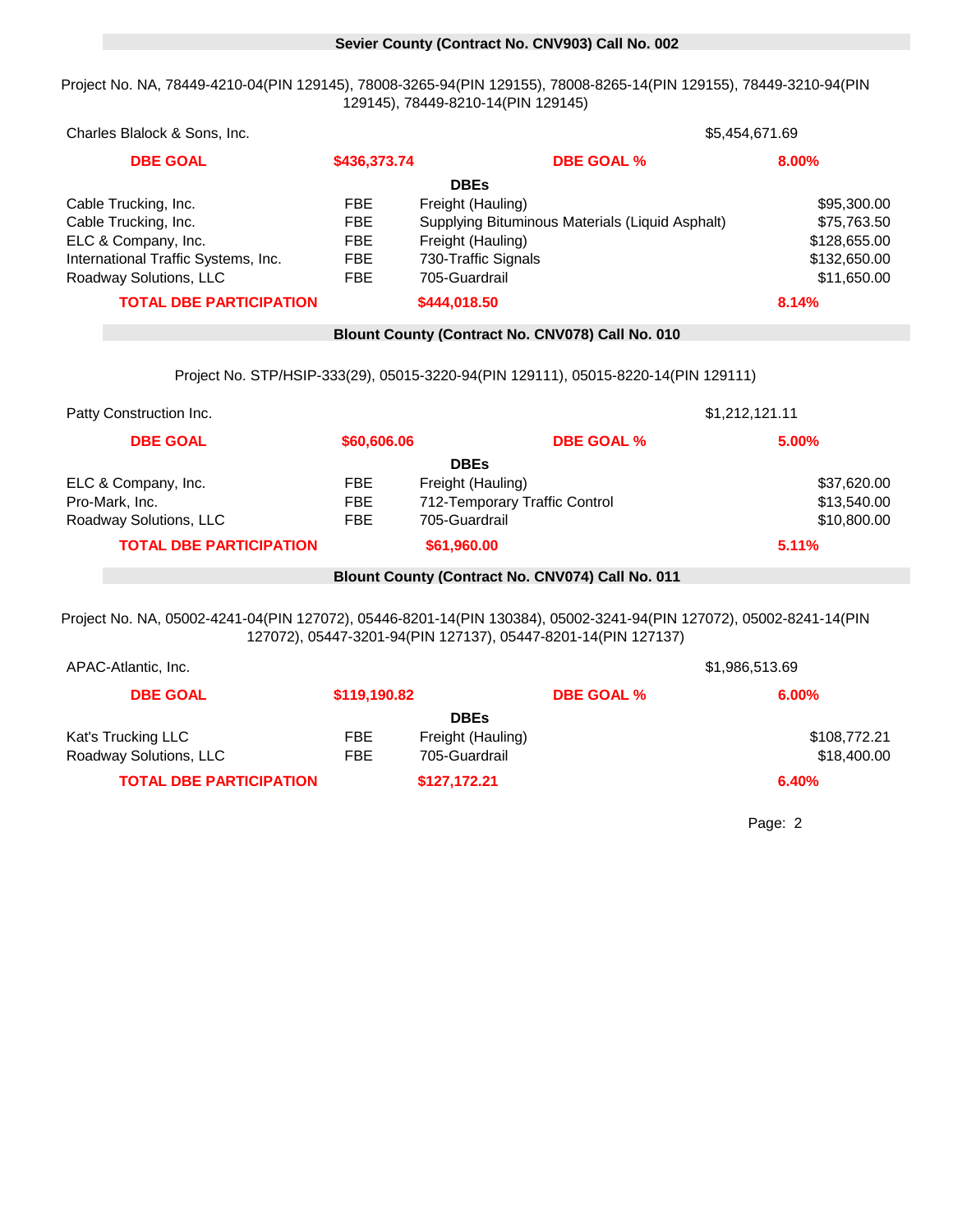#### 0 **Sevier County (Contract No. CNV903) Call No. 002**

Project No. NA, 78449-4210-04(PIN 129145), 78008-3265-94(PIN 129155), 78008-8265-14(PIN 129155), 78449-3210-94(PIN 129145), 78449-8210-14(PIN 129145)

| Charles Blalock & Sons, Inc.        |              |                                                 | \$5,454,671.69 |  |  |
|-------------------------------------|--------------|-------------------------------------------------|----------------|--|--|
| <b>DBE GOAL</b>                     | \$436,373.74 | <b>DBE GOAL %</b>                               | 8.00%          |  |  |
|                                     |              | <b>DBEs</b>                                     |                |  |  |
| Cable Trucking, Inc.                | <b>FBE</b>   | Freight (Hauling)                               | \$95,300.00    |  |  |
| Cable Trucking, Inc.                | FBE.         | Supplying Bituminous Materials (Liquid Asphalt) | \$75,763.50    |  |  |
| ELC & Company, Inc.                 | FBE          | Freight (Hauling)                               | \$128,655.00   |  |  |
| International Traffic Systems, Inc. | FBE          | 730-Traffic Signals                             | \$132,650.00   |  |  |
| Roadway Solutions, LLC              | FBE          | 705-Guardrail                                   | \$11,650.00    |  |  |
| <b>TOTAL DBE PARTICIPATION</b>      |              | \$444,018.50                                    | 8.14%          |  |  |

#### 0 **Blount County (Contract No. CNV078) Call No. 010**

Project No. STP/HSIP-333(29), 05015-3220-94(PIN 129111), 05015-8220-14(PIN 129111)

| Patty Construction Inc.        |             |                               | \$1,212,121.11 |
|--------------------------------|-------------|-------------------------------|----------------|
| <b>DBE GOAL</b>                | \$60,606.06 | <b>DBE GOAL %</b>             | 5.00%          |
|                                |             | <b>DBEs</b>                   |                |
| ELC & Company, Inc.            | FBE         | Freight (Hauling)             | \$37,620.00    |
| Pro-Mark, Inc.                 | <b>FBE</b>  | 712-Temporary Traffic Control | \$13,540.00    |
| Roadway Solutions, LLC         | <b>FBE</b>  | 705-Guardrail                 | \$10,800.00    |
| <b>TOTAL DBE PARTICIPATION</b> |             | \$61,960.00                   | 5.11%          |

#### 0 **Blount County (Contract No. CNV074) Call No. 011**

Project No. NA, 05002-4241-04(PIN 127072), 05446-8201-14(PIN 130384), 05002-3241-94(PIN 127072), 05002-8241-14(PIN 127072), 05447-3201-94(PIN 127137), 05447-8201-14(PIN 127137)

| APAC-Atlantic, Inc.            |              | \$1,986,513.69    |                   |              |
|--------------------------------|--------------|-------------------|-------------------|--------------|
| <b>DBE GOAL</b>                | \$119,190.82 |                   | <b>DBE GOAL %</b> | $6.00\%$     |
|                                |              | <b>DBEs</b>       |                   |              |
| Kat's Trucking LLC             | FBE          | Freight (Hauling) |                   | \$108,772.21 |
| Roadway Solutions, LLC         | <b>FBE</b>   | 705-Guardrail     |                   | \$18,400.00  |
| <b>TOTAL DBE PARTICIPATION</b> |              | \$127,172.21      |                   | 6.40%        |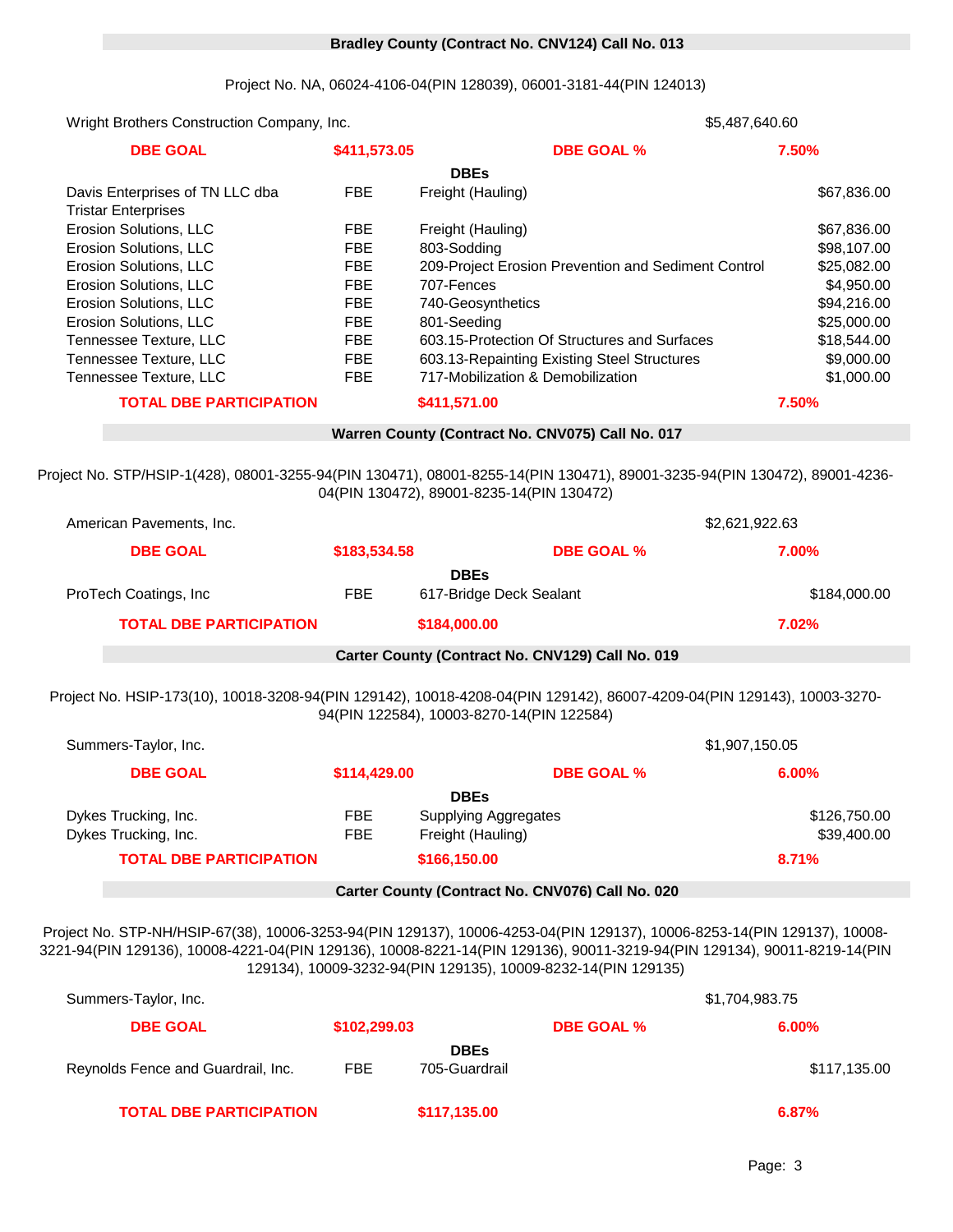#### 0 **Bradley County (Contract No. CNV124) Call No. 013**

Project No. NA, 06024-4106-04(PIN 128039), 06001-3181-44(PIN 124013)

Wright Brothers Construction Company, Inc. 1843 **1986** 1988 **1997 1843 1843 1843 1843 1843 1843 1843 1848 1848 1848 1848 1848 1848 1848 1848 1848 1848 1848 1848 1848 1848 1848 DBE GOAL \$411,573.05 DBE GOAL % 7.50%** Erosion Solutions, LLC **FBE** 707-Fences **1998** 707-Fences \$4,950.00 Erosion Solutions, LLC **FBE** 740-Geosynthetics **FGB** 740-Geosynthetics 594,216.00 Erosion Solutions, LLC **FBE** 803-Sodding **603-Sodding** \$98,107.00 Erosion Solutions, LLC FBE 209-Project Erosion Prevention and Sediment Control \$25,082.00 **DBEs** Davis Enterprises of TN LLC dba Tristar Enterprises FBE Freight (Hauling) \$67,836.00 Erosion Solutions, LLC FBE Freight (Hauling) \$67,836.00 **TOTAL DBE PARTICIPATION \$411,571.00 7.50%** 0 **Warren County (Contract No. CNV075) Call No. 017** Tennessee Texture, LLC **FBE** 603.13-Repainting Existing Steel Structures \$9,000.00 Tennessee Texture, LLC **FBE** 717-Mobilization & Demobilization **600000 11000000** \$1,000.00 Erosion Solutions, LLC **FBE** 801-Seeding **\$25,000.00** \$25,000.00 Tennessee Texture, LLC **FBE** 603.15-Protection Of Structures and Surfaces \$18,544.00 **DBEs** ProTech Coatings, Inc **FBE** 617-Bridge Deck Sealant 619 and 5184,000.00 **TOTAL DBE PARTICIPATION \$184,000.00 7.02%** Project No. STP/HSIP-1(428), 08001-3255-94(PIN 130471), 08001-8255-14(PIN 130471), 89001-3235-94(PIN 130472), 89001-4236- 04(PIN 130472), 89001-8235-14(PIN 130472) American Pavements, Inc. 18361 1997 183621, 2022.63 **DBE GOAL \$183,534.58 DBE GOAL % 7.00%** Dykes Trucking, Inc. **EXALL SECUTE:** Freight (Hauling) **FIGULARY CONSUMENT SECUTE: 1999** 400.00 **TOTAL DBE PARTICIPATION \$166,150.00 8.71% DBE GOAL \$114,429.00 DBE GOAL % 6.00% DBEs** Dykes Trucking, Inc. The Supplying Aggregates Trucking, Inc. \$126,750.00 0 **Carter County (Contract No. CNV129) Call No. 019** Project No. HSIP-173(10), 10018-3208-94(PIN 129142), 10018-4208-04(PIN 129142), 86007-4209-04(PIN 129143), 10003-3270- 94(PIN 122584), 10003-8270-14(PIN 122584) Summers-Taylor, Inc. 18423 \$1,907,150.05 0 **Carter County (Contract No. CNV076) Call No. 020** Project No. STP-NH/HSIP-67(38), 10006-3253-94(PIN 129137), 10006-4253-04(PIN 129137), 10006-8253-14(PIN 129137), 10008- 3221-94(PIN 129136), 10008-4221-04(PIN 129136), 10008-8221-14(PIN 129136), 90011-3219-94(PIN 129134), 90011-8219-14(PIN 129134), 10009-3232-94(PIN 129135), 10009-8232-14(PIN 129135) Summers-Taylor, Inc. 18421 18421 18421 18421 18421 18421 18421 18421 18421 18421 18421 18421 18421 18421 1842

| <b>DBE GOAL</b>                    | \$102,299.03 |                              | <b>DBE GOAL %</b> | $6.00\%$     |
|------------------------------------|--------------|------------------------------|-------------------|--------------|
| Reynolds Fence and Guardrail, Inc. | <b>FBE</b>   | <b>DBEs</b><br>705-Guardrail |                   | \$117,135.00 |
| <b>TOTAL DBE PARTICIPATION</b>     |              | \$117,135.00                 |                   | 6.87%        |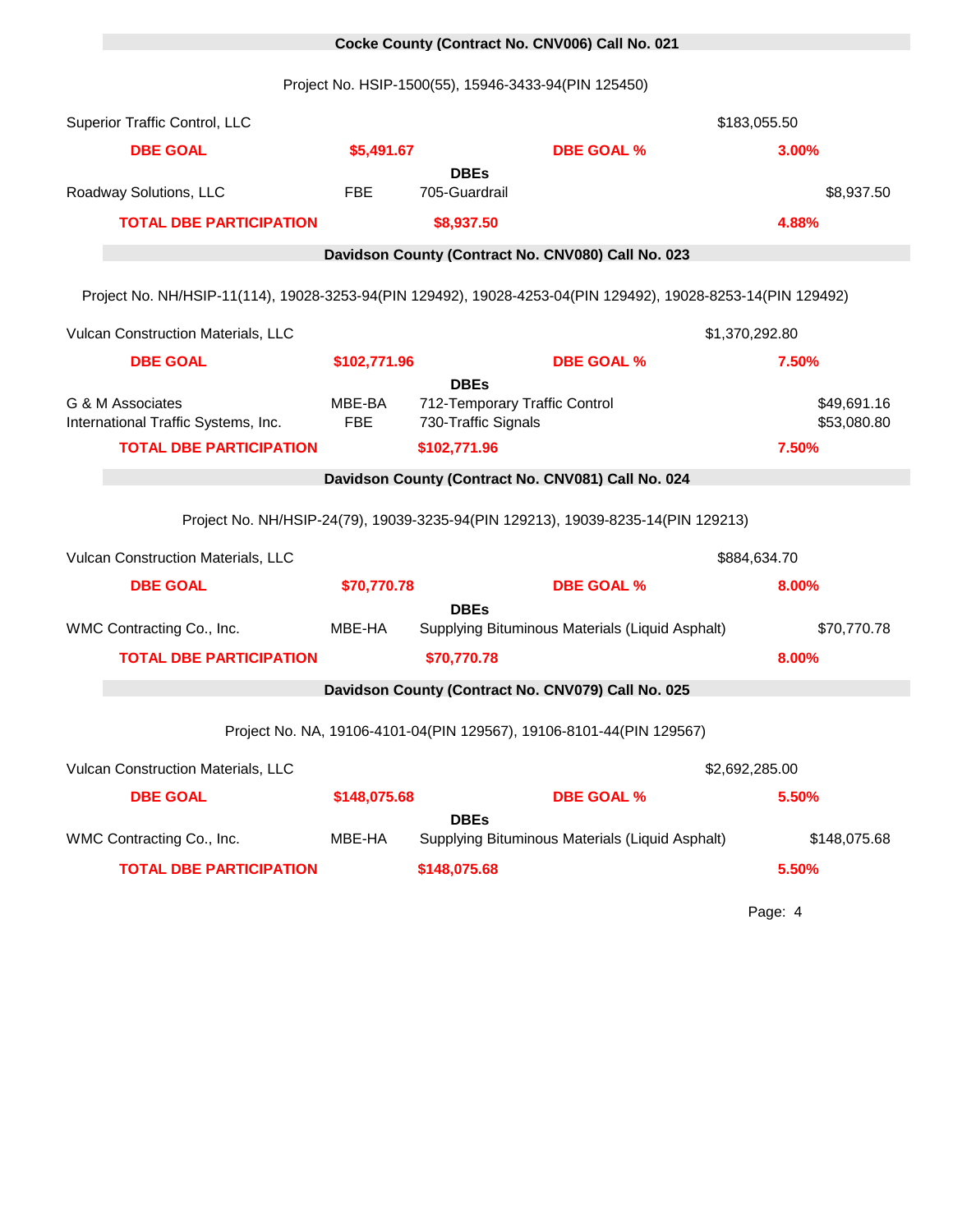# 0 **Cocke County (Contract No. CNV006) Call No. 021**

Project No. HSIP-1500(55), 15946-3433-94(PIN 125450)

| Superior Traffic Control, LLC                                                                                |               |                                                                     |                                                                                  | \$183,055.50               |
|--------------------------------------------------------------------------------------------------------------|---------------|---------------------------------------------------------------------|----------------------------------------------------------------------------------|----------------------------|
| <b>DBE GOAL</b>                                                                                              | \$5,491.67    |                                                                     | <b>DBE GOAL %</b>                                                                | 3.00%                      |
| Roadway Solutions, LLC                                                                                       | FBE           | <b>DBEs</b><br>705-Guardrail                                        |                                                                                  | \$8,937.50                 |
| <b>TOTAL DBE PARTICIPATION</b>                                                                               |               | \$8,937.50                                                          |                                                                                  | 4.88%                      |
|                                                                                                              |               |                                                                     | Davidson County (Contract No. CNV080) Call No. 023                               |                            |
| Project No. NH/HSIP-11(114), 19028-3253-94(PIN 129492), 19028-4253-04(PIN 129492), 19028-8253-14(PIN 129492) |               |                                                                     |                                                                                  |                            |
| Vulcan Construction Materials, LLC                                                                           |               |                                                                     |                                                                                  | \$1,370,292.80             |
| <b>DBE GOAL</b>                                                                                              | \$102,771.96  |                                                                     | <b>DBE GOAL %</b>                                                                | 7.50%                      |
| G & M Associates<br>International Traffic Systems, Inc.                                                      | MBE-BA<br>FBE | <b>DBEs</b><br>712-Temporary Traffic Control<br>730-Traffic Signals |                                                                                  | \$49,691.16<br>\$53,080.80 |
| <b>TOTAL DBE PARTICIPATION</b>                                                                               |               | \$102,771.96                                                        |                                                                                  | 7.50%                      |
|                                                                                                              |               |                                                                     | Davidson County (Contract No. CNV081) Call No. 024                               |                            |
|                                                                                                              |               |                                                                     | Project No. NH/HSIP-24(79), 19039-3235-94(PIN 129213), 19039-8235-14(PIN 129213) |                            |
| Vulcan Construction Materials, LLC                                                                           |               |                                                                     |                                                                                  | \$884,634.70               |
| <b>DBE GOAL</b>                                                                                              | \$70,770.78   |                                                                     | <b>DBE GOAL %</b>                                                                | 8.00%                      |
| WMC Contracting Co., Inc.                                                                                    | MBE-HA        | <b>DBEs</b>                                                         | Supplying Bituminous Materials (Liquid Asphalt)                                  | \$70,770.78                |
| <b>TOTAL DBE PARTICIPATION</b>                                                                               |               | \$70,770.78                                                         |                                                                                  | 8.00%                      |
|                                                                                                              |               |                                                                     | Davidson County (Contract No. CNV079) Call No. 025                               |                            |
|                                                                                                              |               |                                                                     |                                                                                  |                            |
|                                                                                                              |               |                                                                     | Project No. NA, 19106-4101-04(PIN 129567), 19106-8101-44(PIN 129567)             |                            |
| Vulcan Construction Materials, LLC                                                                           |               |                                                                     |                                                                                  | \$2,692,285.00             |
| <b>DBE GOAL</b>                                                                                              | \$148,075.68  |                                                                     | <b>DBE GOAL %</b>                                                                | 5.50%                      |
| WMC Contracting Co., Inc.                                                                                    | MBE-HA        | <b>DBEs</b>                                                         | Supplying Bituminous Materials (Liquid Asphalt)                                  | \$148,075.68               |
| <b>TOTAL DBE PARTICIPATION</b>                                                                               |               | \$148,075.68                                                        |                                                                                  | 5.50%                      |
|                                                                                                              |               |                                                                     |                                                                                  | Page: 4                    |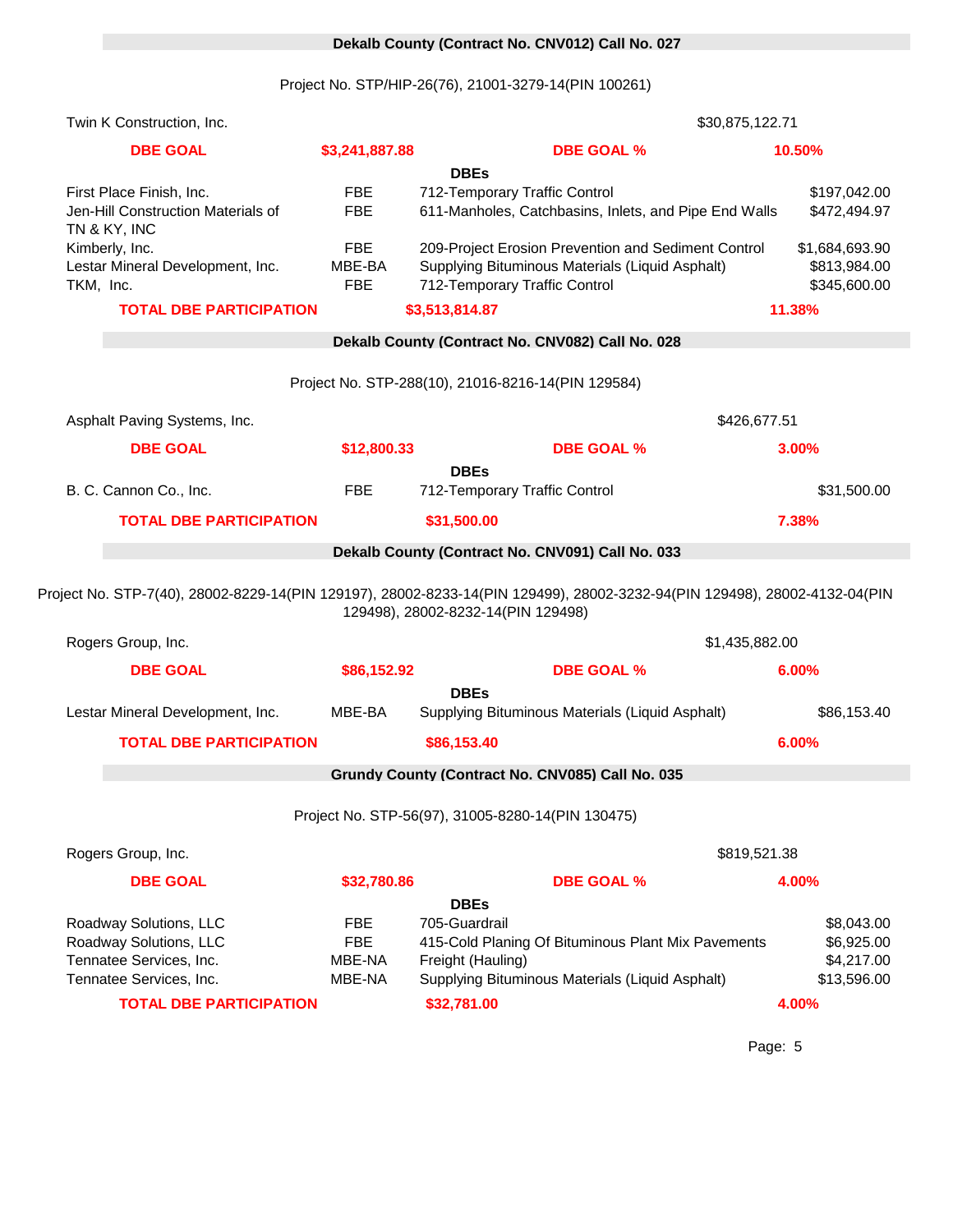# 0 **Dekalb County (Contract No. CNV012) Call No. 027**

Project No. STP/HIP-26(76), 21001-3279-14(PIN 100261)

| Twin K Construction, Inc.                          |                  | \$30,875,122.71                                                                                                                                                 |                           |
|----------------------------------------------------|------------------|-----------------------------------------------------------------------------------------------------------------------------------------------------------------|---------------------------|
| <b>DBE GOAL</b>                                    | \$3,241,887.88   | <b>DBE GOAL %</b>                                                                                                                                               | 10.50%                    |
|                                                    |                  | <b>DBEs</b>                                                                                                                                                     |                           |
| First Place Finish, Inc.                           | <b>FBE</b>       | 712-Temporary Traffic Control                                                                                                                                   | \$197,042.00              |
| Jen-Hill Construction Materials of<br>TN & KY, INC | <b>FBE</b>       | 611-Manholes, Catchbasins, Inlets, and Pipe End Walls                                                                                                           | \$472,494.97              |
| Kimberly, Inc.                                     | <b>FBE</b>       | 209-Project Erosion Prevention and Sediment Control                                                                                                             | \$1,684,693.90            |
| Lestar Mineral Development, Inc.                   | MBE-BA           | Supplying Bituminous Materials (Liquid Asphalt)                                                                                                                 | \$813,984.00              |
| TKM, Inc.                                          | <b>FBE</b>       | 712-Temporary Traffic Control                                                                                                                                   | \$345,600.00              |
| <b>TOTAL DBE PARTICIPATION</b>                     |                  | \$3,513,814.87                                                                                                                                                  | 11.38%                    |
|                                                    |                  | Dekalb County (Contract No. CNV082) Call No. 028                                                                                                                |                           |
|                                                    |                  | Project No. STP-288(10), 21016-8216-14(PIN 129584)                                                                                                              |                           |
|                                                    |                  |                                                                                                                                                                 |                           |
| Asphalt Paving Systems, Inc.                       |                  | \$426,677.51                                                                                                                                                    |                           |
| <b>DBE GOAL</b>                                    | \$12,800.33      | <b>DBE GOAL %</b>                                                                                                                                               | 3.00%                     |
|                                                    |                  | <b>DBEs</b>                                                                                                                                                     |                           |
| B. C. Cannon Co., Inc.                             | <b>FBE</b>       | 712-Temporary Traffic Control                                                                                                                                   | \$31,500.00               |
| <b>TOTAL DBE PARTICIPATION</b>                     |                  | \$31,500.00                                                                                                                                                     | 7.38%                     |
|                                                    |                  | Dekalb County (Contract No. CNV091) Call No. 033                                                                                                                |                           |
|                                                    |                  | Project No. STP-7(40), 28002-8229-14(PIN 129197), 28002-8233-14(PIN 129499), 28002-3232-94(PIN 129498), 28002-4132-04(PIN<br>129498), 28002-8232-14(PIN 129498) |                           |
| Rogers Group, Inc.                                 |                  | \$1,435,882.00                                                                                                                                                  |                           |
| <b>DBE GOAL</b>                                    | \$86,152.92      | <b>DBE GOAL %</b>                                                                                                                                               | 6.00%                     |
|                                                    |                  | <b>DBEs</b>                                                                                                                                                     |                           |
| Lestar Mineral Development, Inc.                   | MBE-BA           | Supplying Bituminous Materials (Liquid Asphalt)                                                                                                                 | \$86,153.40               |
| <b>TOTAL DBE PARTICIPATION</b>                     |                  | \$86,153.40                                                                                                                                                     | 6.00%                     |
|                                                    |                  | Grundy County (Contract No. CNV085) Call No. 035                                                                                                                |                           |
|                                                    |                  | Project No. STP-56(97), 31005-8280-14(PIN 130475)                                                                                                               |                           |
| Rogers Group, Inc.                                 |                  | \$819,521.38                                                                                                                                                    |                           |
| <b>DBE GOAL</b>                                    | \$32,780.86      | <b>DBE GOAL %</b>                                                                                                                                               | 4.00%                     |
|                                                    |                  | <b>DBEs</b>                                                                                                                                                     |                           |
| Roadway Solutions, LLC                             | <b>FBE</b>       | 705-Guardrail                                                                                                                                                   | \$8,043.00                |
| Roadway Solutions, LLC                             | <b>FBE</b>       | 415-Cold Planing Of Bituminous Plant Mix Pavements                                                                                                              | \$6,925.00                |
| Tennatee Services, Inc.<br>Tennatee Services, Inc. | MBE-NA<br>MBE-NA | Freight (Hauling)<br>Supplying Bituminous Materials (Liquid Asphalt)                                                                                            | \$4,217.00<br>\$13,596.00 |
| <b>TOTAL DBE PARTICIPATION</b>                     |                  | \$32,781.00                                                                                                                                                     | 4.00%                     |
|                                                    |                  |                                                                                                                                                                 |                           |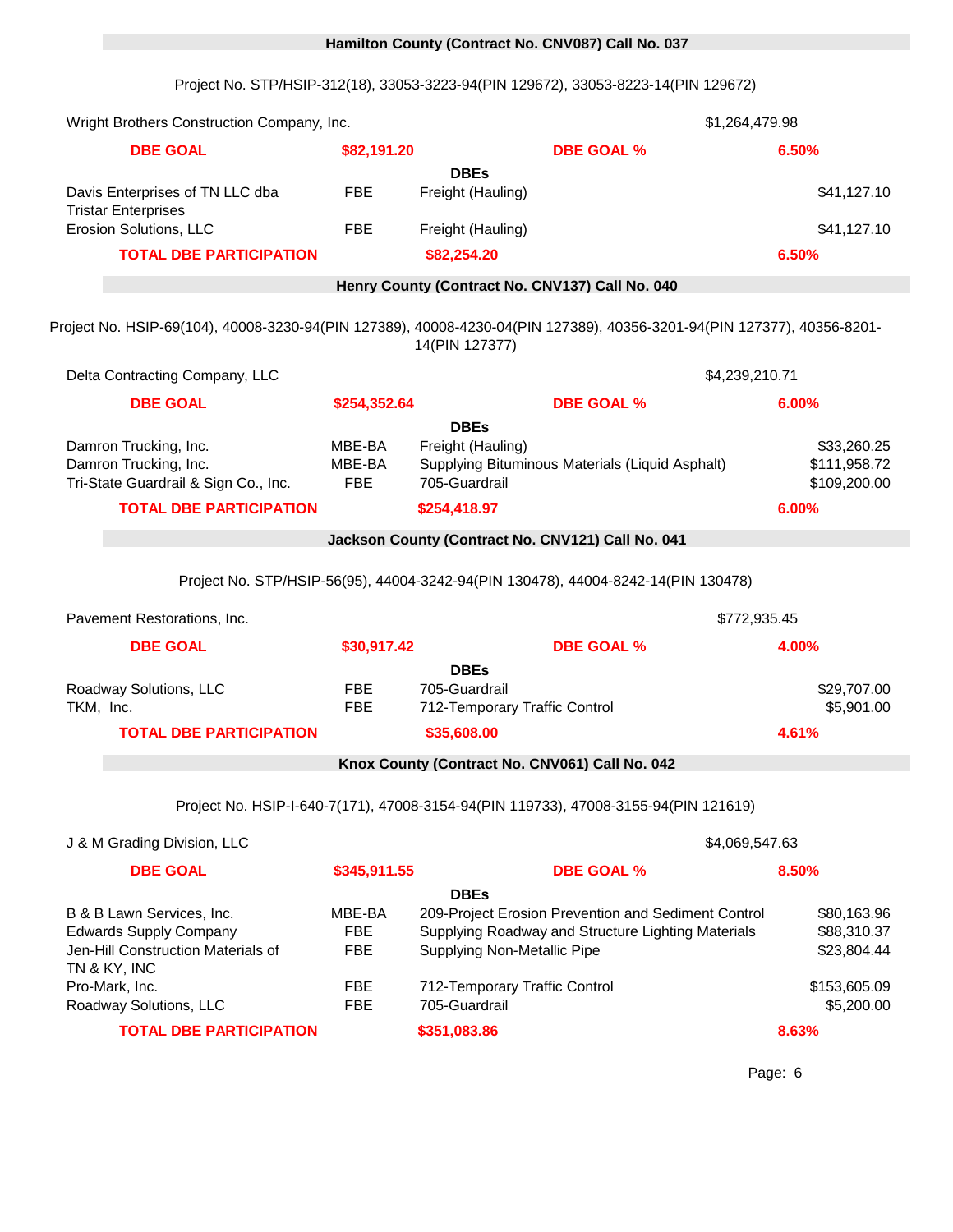# 0 **Hamilton County (Contract No. CNV087) Call No. 037**

Project No. STP/HSIP-312(18), 33053-3223-94(PIN 129672), 33053-8223-14(PIN 129672)

| Wright Brothers Construction Company, Inc.                                                                       |                                    |                                                                                                                                                 | \$1,264,479.98 |                                             |
|------------------------------------------------------------------------------------------------------------------|------------------------------------|-------------------------------------------------------------------------------------------------------------------------------------------------|----------------|---------------------------------------------|
| <b>DBE GOAL</b>                                                                                                  | \$82,191.20                        | <b>DBE GOAL %</b>                                                                                                                               |                | 6.50%                                       |
|                                                                                                                  |                                    | <b>DBEs</b>                                                                                                                                     |                |                                             |
| Davis Enterprises of TN LLC dba<br><b>Tristar Enterprises</b>                                                    | <b>FBE</b>                         | Freight (Hauling)                                                                                                                               |                | \$41,127.10                                 |
| Erosion Solutions, LLC                                                                                           | <b>FBE</b>                         | Freight (Hauling)                                                                                                                               |                | \$41,127.10                                 |
| <b>TOTAL DBE PARTICIPATION</b>                                                                                   |                                    | \$82,254.20                                                                                                                                     |                | 6.50%                                       |
|                                                                                                                  |                                    | Henry County (Contract No. CNV137) Call No. 040                                                                                                 |                |                                             |
|                                                                                                                  |                                    | Project No. HSIP-69(104), 40008-3230-94(PIN 127389), 40008-4230-04(PIN 127389), 40356-3201-94(PIN 127377), 40356-8201-<br>14(PIN 127377)        |                |                                             |
| Delta Contracting Company, LLC                                                                                   |                                    |                                                                                                                                                 | \$4,239,210.71 |                                             |
| <b>DBE GOAL</b>                                                                                                  | \$254,352.64                       | <b>DBE GOAL %</b><br><b>DBEs</b>                                                                                                                |                | 6.00%                                       |
| Damron Trucking, Inc.<br>Damron Trucking, Inc.<br>Tri-State Guardrail & Sign Co., Inc.                           | MBE-BA<br>MBE-BA<br><b>FBE</b>     | Freight (Hauling)<br>Supplying Bituminous Materials (Liquid Asphalt)<br>705-Guardrail                                                           |                | \$33,260.25<br>\$111,958.72<br>\$109,200.00 |
| <b>TOTAL DBE PARTICIPATION</b>                                                                                   |                                    | \$254,418.97                                                                                                                                    |                | 6.00%                                       |
|                                                                                                                  |                                    | Jackson County (Contract No. CNV121) Call No. 041                                                                                               |                |                                             |
|                                                                                                                  |                                    | Project No. STP/HSIP-56(95), 44004-3242-94(PIN 130478), 44004-8242-14(PIN 130478)                                                               |                |                                             |
| Pavement Restorations, Inc.                                                                                      |                                    |                                                                                                                                                 | \$772,935.45   |                                             |
| <b>DBE GOAL</b>                                                                                                  | \$30,917.42                        | <b>DBE GOAL %</b>                                                                                                                               |                | 4.00%                                       |
|                                                                                                                  |                                    | <b>DBEs</b>                                                                                                                                     |                |                                             |
| Roadway Solutions, LLC                                                                                           | <b>FBE</b>                         | 705-Guardrail                                                                                                                                   |                | \$29,707.00                                 |
| TKM, Inc.                                                                                                        | <b>FBE</b>                         | 712-Temporary Traffic Control                                                                                                                   |                | \$5,901.00                                  |
| <b>TOTAL DBE PARTICIPATION</b>                                                                                   |                                    | \$35,608.00                                                                                                                                     |                | 4.61%                                       |
|                                                                                                                  |                                    | Knox County (Contract No. CNV061) Call No. 042                                                                                                  |                |                                             |
|                                                                                                                  |                                    | Project No. HSIP-I-640-7(171), 47008-3154-94(PIN 119733), 47008-3155-94(PIN 121619)                                                             |                |                                             |
| J & M Grading Division, LLC                                                                                      |                                    |                                                                                                                                                 | \$4,069,547.63 |                                             |
| <b>DBE GOAL</b>                                                                                                  | \$345,911.55                       | <b>DBE GOAL %</b>                                                                                                                               |                | 8.50%                                       |
|                                                                                                                  |                                    | <b>DBEs</b>                                                                                                                                     |                |                                             |
| B & B Lawn Services, Inc.<br><b>Edwards Supply Company</b><br>Jen-Hill Construction Materials of<br>TN & KY, INC | MBE-BA<br><b>FBE</b><br><b>FBE</b> | 209-Project Erosion Prevention and Sediment Control<br>Supplying Roadway and Structure Lighting Materials<br><b>Supplying Non-Metallic Pipe</b> |                | \$80,163.96<br>\$88,310.37<br>\$23,804.44   |
| Pro-Mark, Inc.<br>Roadway Solutions, LLC                                                                         | <b>FBE</b><br><b>FBE</b>           | 712-Temporary Traffic Control<br>705-Guardrail                                                                                                  |                | \$153,605.09<br>\$5,200.00                  |
| <b>TOTAL DBE PARTICIPATION</b>                                                                                   |                                    | \$351,083.86                                                                                                                                    |                | 8.63%                                       |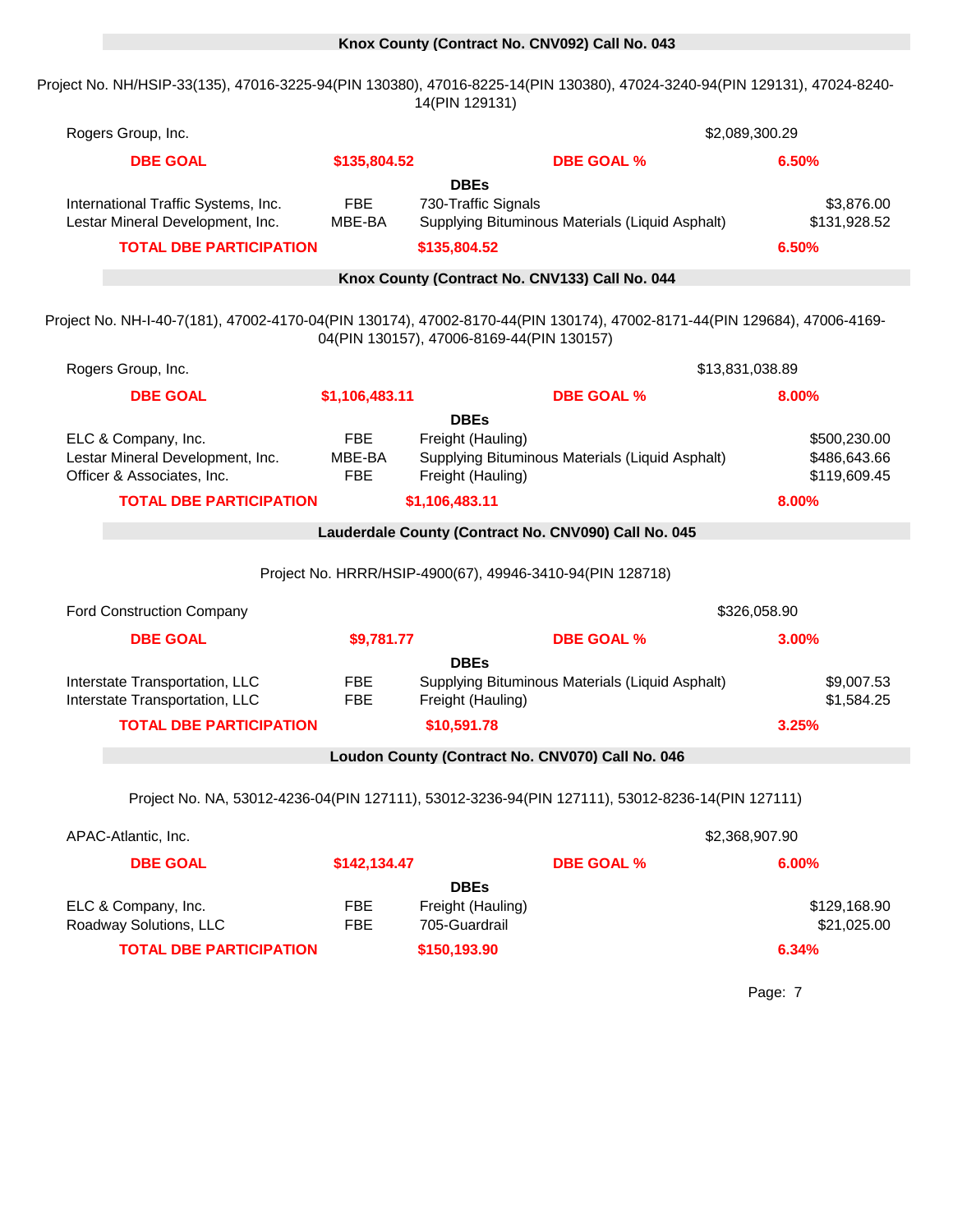#### 0 **Knox County (Contract No. CNV092) Call No. 043**

Project No. NH/HSIP-33(135), 47016-3225-94(PIN 130380), 47016-8225-14(PIN 130380), 47024-3240-94(PIN 129131), 47024-8240- 14(PIN 129131)

| Rogers Group, Inc.                                                                                 |                                    |                                                                                                                                                                       | \$2,089,300.29                               |
|----------------------------------------------------------------------------------------------------|------------------------------------|-----------------------------------------------------------------------------------------------------------------------------------------------------------------------|----------------------------------------------|
| <b>DBE GOAL</b>                                                                                    | \$135,804.52                       | <b>DBE GOAL %</b>                                                                                                                                                     | 6.50%                                        |
| International Traffic Systems, Inc.<br>Lestar Mineral Development, Inc.                            | <b>FBE</b><br>MBE-BA               | <b>DBEs</b><br>730-Traffic Signals<br>Supplying Bituminous Materials (Liquid Asphalt)                                                                                 | \$3,876.00<br>\$131,928.52                   |
| <b>TOTAL DBE PARTICIPATION</b>                                                                     |                                    | \$135,804.52                                                                                                                                                          | 6.50%                                        |
|                                                                                                    |                                    | Knox County (Contract No. CNV133) Call No. 044                                                                                                                        |                                              |
|                                                                                                    |                                    | Project No. NH-I-40-7(181), 47002-4170-04(PIN 130174), 47002-8170-44(PIN 130174), 47002-8171-44(PIN 129684), 47006-4169-<br>04(PIN 130157), 47006-8169-44(PIN 130157) |                                              |
| Rogers Group, Inc.                                                                                 |                                    |                                                                                                                                                                       | \$13,831,038.89                              |
| <b>DBE GOAL</b>                                                                                    | \$1,106,483.11                     | <b>DBE GOAL %</b>                                                                                                                                                     | 8.00%                                        |
| ELC & Company, Inc.<br>Lestar Mineral Development, Inc.<br>Officer & Associates, Inc.              | <b>FBE</b><br>MBE-BA<br><b>FBE</b> | <b>DBEs</b><br>Freight (Hauling)<br>Supplying Bituminous Materials (Liquid Asphalt)<br>Freight (Hauling)                                                              | \$500,230.00<br>\$486,643.66<br>\$119,609.45 |
| <b>TOTAL DBE PARTICIPATION</b>                                                                     |                                    | \$1,106,483.11                                                                                                                                                        | 8.00%                                        |
|                                                                                                    |                                    | Lauderdale County (Contract No. CNV090) Call No. 045                                                                                                                  |                                              |
|                                                                                                    |                                    | Project No. HRRR/HSIP-4900(67), 49946-3410-94(PIN 128718)                                                                                                             |                                              |
| Ford Construction Company                                                                          |                                    |                                                                                                                                                                       | \$326,058.90                                 |
| <b>DBE GOAL</b>                                                                                    | \$9,781.77                         | <b>DBE GOAL %</b>                                                                                                                                                     | 3.00%                                        |
| Interstate Transportation, LLC<br>Interstate Transportation, LLC<br><b>TOTAL DBE PARTICIPATION</b> | FBE<br><b>FBE</b>                  | <b>DBEs</b><br>Supplying Bituminous Materials (Liquid Asphalt)<br>Freight (Hauling)<br>\$10,591.78                                                                    | \$9,007.53<br>\$1,584.25<br>3.25%            |
|                                                                                                    |                                    | Loudon County (Contract No. CNV070) Call No. 046                                                                                                                      |                                              |
|                                                                                                    |                                    |                                                                                                                                                                       |                                              |
|                                                                                                    |                                    | Project No. NA, 53012-4236-04(PIN 127111), 53012-3236-94(PIN 127111), 53012-8236-14(PIN 127111)                                                                       |                                              |
|                                                                                                    |                                    |                                                                                                                                                                       |                                              |
| APAC-Atlantic, Inc.                                                                                |                                    |                                                                                                                                                                       | \$2,368,907.90                               |
| <b>DBE GOAL</b>                                                                                    | \$142,134.47                       | <b>DBE GOAL %</b>                                                                                                                                                     | 6.00%                                        |
| ELC & Company, Inc.<br>Roadway Solutions, LLC                                                      | <b>FBE</b><br><b>FBE</b>           | <b>DBEs</b><br>Freight (Hauling)<br>705-Guardrail                                                                                                                     | \$129,168.90<br>\$21,025.00                  |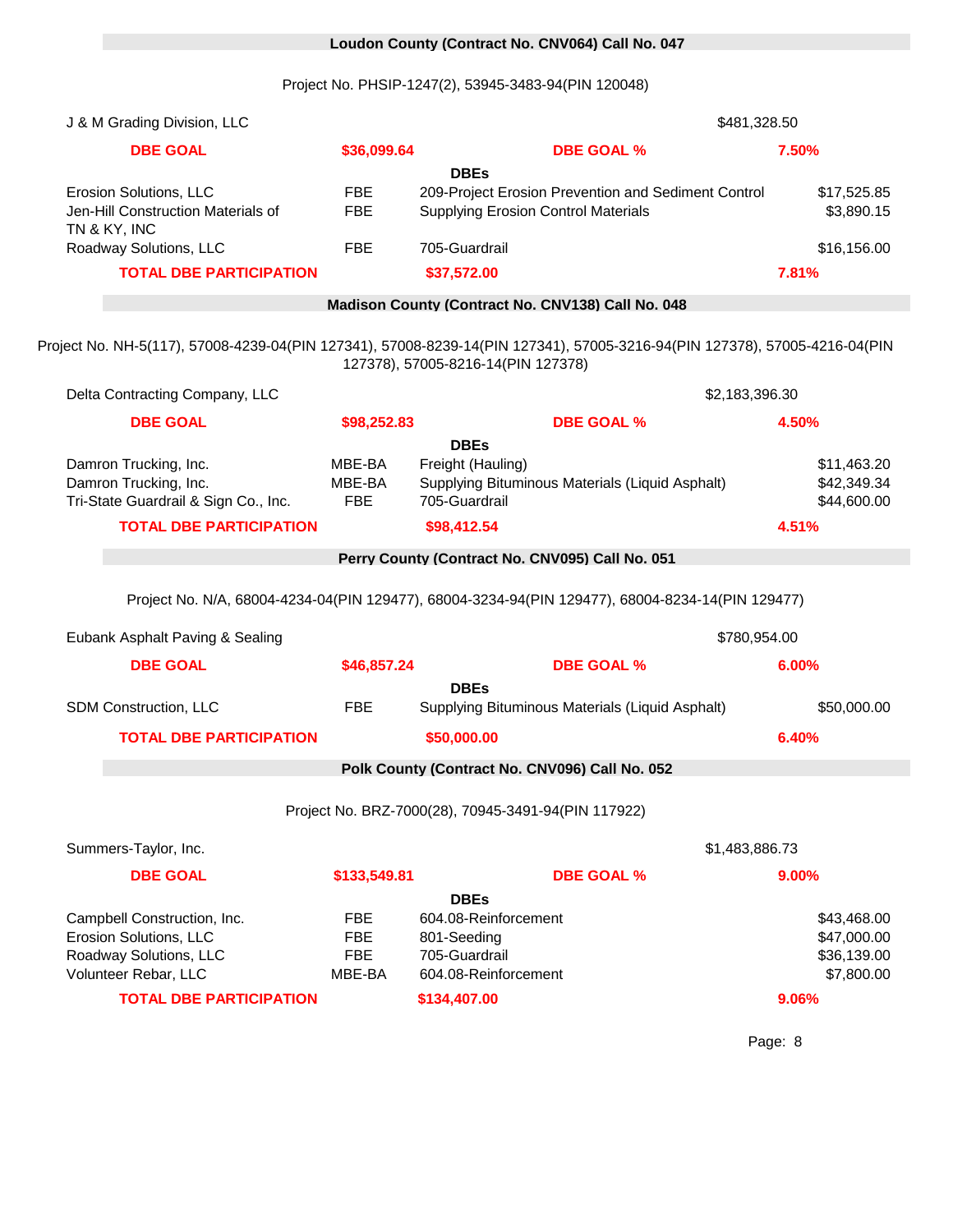# 0 **Loudon County (Contract No. CNV064) Call No. 047**

Project No. PHSIP-1247(2), 53945-3483-94(PIN 120048)

| J & M Grading Division, LLC                                                                                                         |                                |                                                                                                      |                   | \$481,328.50   |                                           |
|-------------------------------------------------------------------------------------------------------------------------------------|--------------------------------|------------------------------------------------------------------------------------------------------|-------------------|----------------|-------------------------------------------|
| <b>DBE GOAL</b>                                                                                                                     | \$36,099.64                    |                                                                                                      | <b>DBE GOAL %</b> | 7.50%          |                                           |
|                                                                                                                                     |                                | <b>DBEs</b>                                                                                          |                   |                |                                           |
| Erosion Solutions, LLC<br>Jen-Hill Construction Materials of<br>TN & KY, INC                                                        | <b>FBE</b><br><b>FBE</b>       | 209-Project Erosion Prevention and Sediment Control<br><b>Supplying Erosion Control Materials</b>    |                   |                | \$17,525.85<br>\$3,890.15                 |
| Roadway Solutions, LLC                                                                                                              | <b>FBE</b>                     | 705-Guardrail                                                                                        |                   |                | \$16,156.00                               |
| <b>TOTAL DBE PARTICIPATION</b>                                                                                                      |                                | \$37,572.00                                                                                          |                   | 7.81%          |                                           |
|                                                                                                                                     |                                | Madison County (Contract No. CNV138) Call No. 048                                                    |                   |                |                                           |
| Project No. NH-5(117), 57008-4239-04(PIN 127341), 57008-8239-14(PIN 127341), 57005-3216-94(PIN 127378), 57005-4216-04(PIN           |                                | 127378), 57005-8216-14(PIN 127378)                                                                   |                   |                |                                           |
| Delta Contracting Company, LLC                                                                                                      |                                |                                                                                                      |                   | \$2,183,396.30 |                                           |
| <b>DBE GOAL</b>                                                                                                                     | \$98,252.83                    |                                                                                                      | <b>DBE GOAL %</b> | 4.50%          |                                           |
| Damron Trucking, Inc.<br>Damron Trucking, Inc.<br>Tri-State Guardrail & Sign Co., Inc.                                              | MBE-BA<br>MBE-BA<br><b>FBE</b> | <b>DBEs</b><br>Freight (Hauling)<br>Supplying Bituminous Materials (Liquid Asphalt)<br>705-Guardrail |                   |                | \$11,463.20<br>\$42,349.34<br>\$44,600.00 |
| <b>TOTAL DBE PARTICIPATION</b>                                                                                                      |                                | \$98,412.54                                                                                          |                   | 4.51%          |                                           |
|                                                                                                                                     |                                | Perry County (Contract No. CNV095) Call No. 051                                                      |                   |                |                                           |
| Project No. N/A, 68004-4234-04(PIN 129477), 68004-3234-94(PIN 129477), 68004-8234-14(PIN 129477)<br>Eubank Asphalt Paving & Sealing |                                |                                                                                                      |                   | \$780,954.00   |                                           |
| <b>DBE GOAL</b>                                                                                                                     | \$46,857.24                    |                                                                                                      | <b>DBE GOAL %</b> | 6.00%          |                                           |
| SDM Construction, LLC                                                                                                               | <b>FBE</b>                     | <b>DBEs</b><br>Supplying Bituminous Materials (Liquid Asphalt)                                       |                   |                | \$50,000.00                               |
| <b>TOTAL DBE PARTICIPATION</b>                                                                                                      |                                | \$50,000.00                                                                                          |                   | 6.40%          |                                           |
|                                                                                                                                     |                                |                                                                                                      |                   |                |                                           |
|                                                                                                                                     |                                | Polk County (Contract No. CNV096) Call No. 052                                                       |                   |                |                                           |
|                                                                                                                                     |                                | Project No. BRZ-7000(28), 70945-3491-94(PIN 117922)                                                  |                   |                |                                           |
| Summers-Taylor, Inc.                                                                                                                |                                |                                                                                                      |                   | \$1,483,886.73 |                                           |
| <b>DBE GOAL</b>                                                                                                                     | \$133,549.81                   |                                                                                                      | <b>DBE GOAL %</b> | 9.00%          |                                           |
|                                                                                                                                     |                                | <b>DBEs</b>                                                                                          |                   |                |                                           |
| Campbell Construction, Inc.                                                                                                         | <b>FBE</b>                     | 604.08-Reinforcement                                                                                 |                   |                | \$43,468.00                               |
| Erosion Solutions, LLC                                                                                                              | <b>FBE</b>                     | 801-Seeding                                                                                          |                   |                | \$47,000.00                               |
| Roadway Solutions, LLC                                                                                                              | <b>FBE</b>                     | 705-Guardrail                                                                                        |                   |                | \$36,139.00                               |
| Volunteer Rebar, LLC                                                                                                                | MBE-BA                         | 604.08-Reinforcement                                                                                 |                   |                | \$7,800.00                                |
| <b>TOTAL DBE PARTICIPATION</b>                                                                                                      |                                | \$134,407.00                                                                                         |                   | 9.06%          |                                           |
|                                                                                                                                     |                                |                                                                                                      |                   |                |                                           |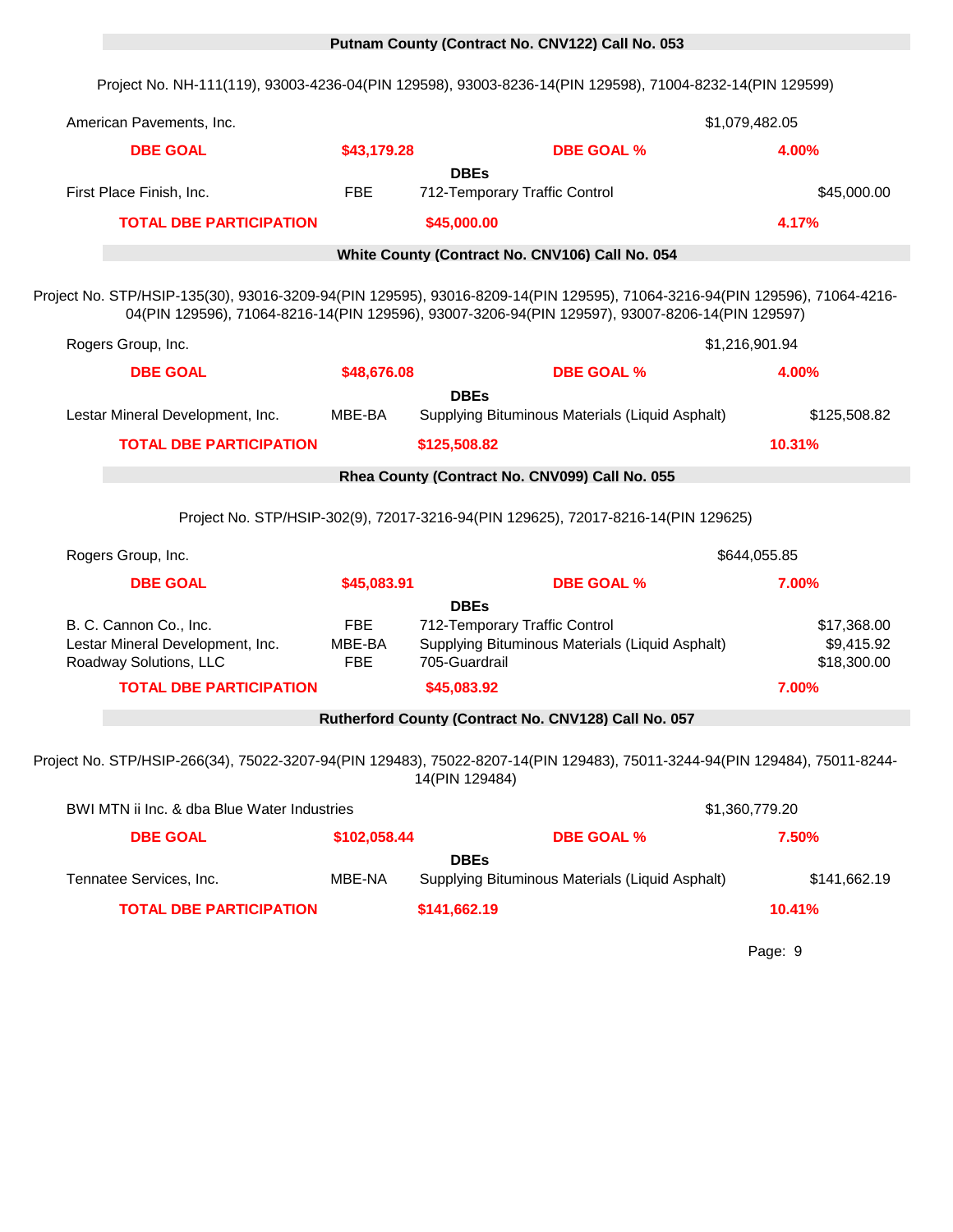# 0 **Putnam County (Contract No. CNV122) Call No. 053**

Project No. NH-111(119), 93003-4236-04(PIN 129598), 93003-8236-14(PIN 129598), 71004-8232-14(PIN 129599)

| American Pavements, Inc.                                                                                               |                                    |                                                                                                                                                                                                                               | \$1,079,482.05 |                                          |
|------------------------------------------------------------------------------------------------------------------------|------------------------------------|-------------------------------------------------------------------------------------------------------------------------------------------------------------------------------------------------------------------------------|----------------|------------------------------------------|
| <b>DBE GOAL</b>                                                                                                        | \$43,179.28                        | <b>DBE GOAL %</b>                                                                                                                                                                                                             | 4.00%          |                                          |
|                                                                                                                        |                                    | <b>DBEs</b>                                                                                                                                                                                                                   |                |                                          |
| First Place Finish, Inc.                                                                                               | <b>FBE</b>                         | 712-Temporary Traffic Control                                                                                                                                                                                                 |                | \$45,000.00                              |
| <b>TOTAL DBE PARTICIPATION</b>                                                                                         |                                    | \$45,000.00                                                                                                                                                                                                                   | 4.17%          |                                          |
|                                                                                                                        |                                    | White County (Contract No. CNV106) Call No. 054                                                                                                                                                                               |                |                                          |
|                                                                                                                        |                                    | Project No. STP/HSIP-135(30), 93016-3209-94(PIN 129595), 93016-8209-14(PIN 129595), 71064-3216-94(PIN 129596), 71064-4216-<br>04(PIN 129596), 71064-8216-14(PIN 129596), 93007-3206-94(PIN 129597), 93007-8206-14(PIN 129597) |                |                                          |
| Rogers Group, Inc.                                                                                                     |                                    |                                                                                                                                                                                                                               | \$1,216,901.94 |                                          |
| <b>DBE GOAL</b>                                                                                                        | \$48,676.08                        | <b>DBE GOAL %</b>                                                                                                                                                                                                             | 4.00%          |                                          |
| Lestar Mineral Development, Inc.                                                                                       | MBE-BA                             | <b>DBEs</b><br>Supplying Bituminous Materials (Liquid Asphalt)                                                                                                                                                                |                | \$125,508.82                             |
| <b>TOTAL DBE PARTICIPATION</b>                                                                                         |                                    | \$125,508.82                                                                                                                                                                                                                  | 10.31%         |                                          |
|                                                                                                                        |                                    | Rhea County (Contract No. CNV099) Call No. 055                                                                                                                                                                                |                |                                          |
|                                                                                                                        |                                    | Project No. STP/HSIP-302(9), 72017-3216-94(PIN 129625), 72017-8216-14(PIN 129625)                                                                                                                                             |                |                                          |
| Rogers Group, Inc.                                                                                                     |                                    |                                                                                                                                                                                                                               | \$644,055.85   |                                          |
| <b>DBE GOAL</b>                                                                                                        | \$45,083.91                        | <b>DBE GOAL %</b>                                                                                                                                                                                                             | 7.00%          |                                          |
| B. C. Cannon Co., Inc.<br>Lestar Mineral Development, Inc.<br>Roadway Solutions, LLC<br><b>TOTAL DBE PARTICIPATION</b> | <b>FBE</b><br>MBE-BA<br><b>FBE</b> | <b>DBEs</b><br>712-Temporary Traffic Control<br>Supplying Bituminous Materials (Liquid Asphalt)<br>705-Guardrail<br>\$45,083.92                                                                                               | 7.00%          | \$17,368.00<br>\$9,415.92<br>\$18,300.00 |
|                                                                                                                        |                                    | Rutherford County (Contract No. CNV128) Call No. 057                                                                                                                                                                          |                |                                          |
|                                                                                                                        |                                    | Project No. STP/HSIP-266(34), 75022-3207-94(PIN 129483), 75022-8207-14(PIN 129483), 75011-3244-94(PIN 129484), 75011-8244-<br>14(PIN 129484)                                                                                  |                |                                          |
| BWI MTN ii Inc. & dba Blue Water Industries                                                                            |                                    |                                                                                                                                                                                                                               | \$1,360,779.20 |                                          |
| <b>DBE GOAL</b>                                                                                                        | \$102,058.44                       | <b>DBE GOAL %</b>                                                                                                                                                                                                             | 7.50%          |                                          |
| Tennatee Services, Inc.<br><b>TOTAL DBE PARTICIPATION</b>                                                              | MBE-NA                             | <b>DBEs</b><br>Supplying Bituminous Materials (Liquid Asphalt)<br>\$141,662.19                                                                                                                                                | 10.41%         | \$141,662.19                             |
|                                                                                                                        |                                    |                                                                                                                                                                                                                               |                |                                          |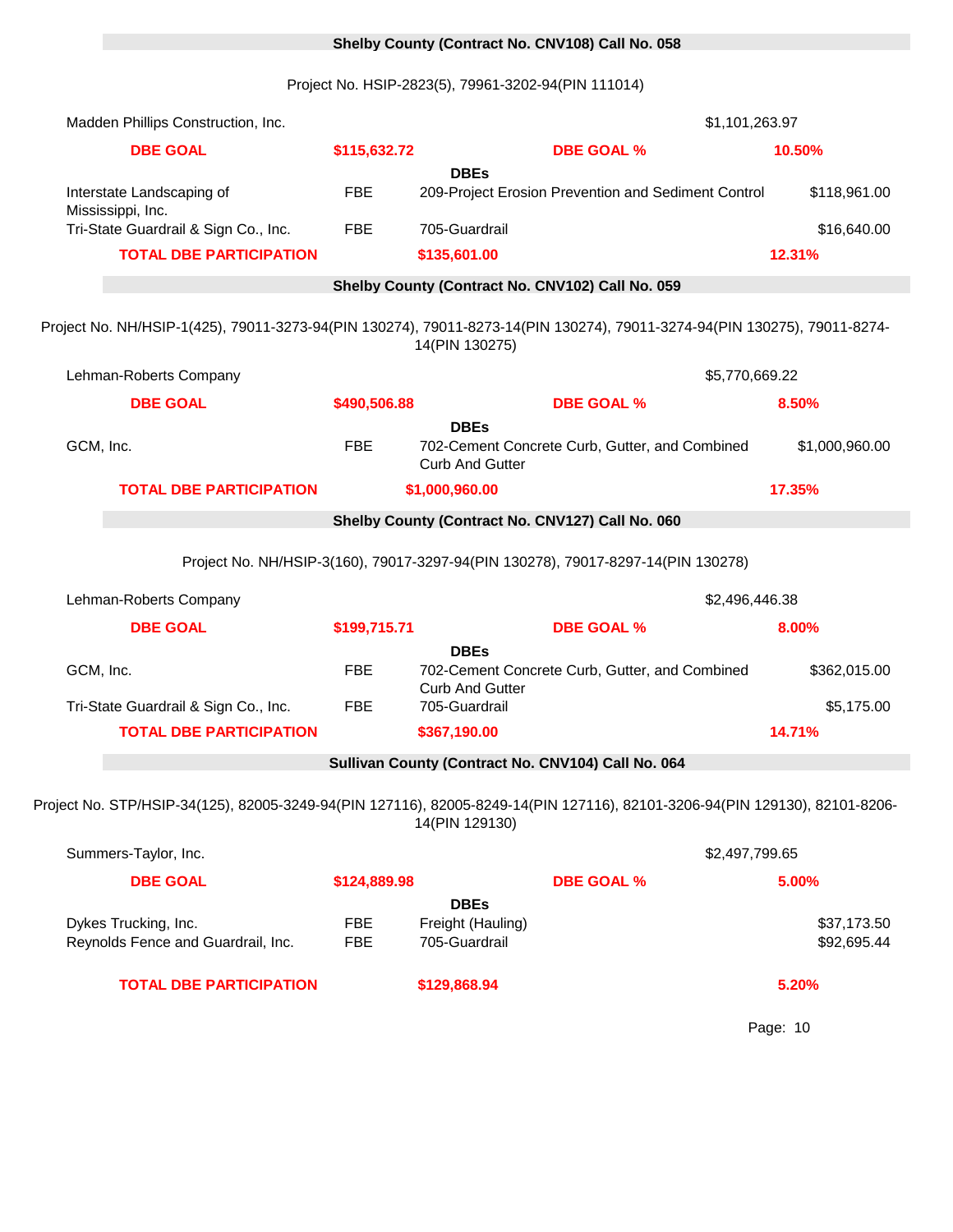# 0 **Shelby County (Contract No. CNV108) Call No. 058**

Project No. HSIP-2823(5), 79961-3202-94(PIN 111014)

| Madden Phillips Construction, Inc.                                                                                                         |              | \$1,101,263.97                          |                                                     |                |  |  |  |  |
|--------------------------------------------------------------------------------------------------------------------------------------------|--------------|-----------------------------------------|-----------------------------------------------------|----------------|--|--|--|--|
| <b>DBE GOAL</b>                                                                                                                            | \$115,632.72 |                                         | <b>DBE GOAL %</b>                                   | 10.50%         |  |  |  |  |
|                                                                                                                                            |              | <b>DBEs</b>                             |                                                     |                |  |  |  |  |
| Interstate Landscaping of<br>Mississippi, Inc.                                                                                             | <b>FBE</b>   |                                         | 209-Project Erosion Prevention and Sediment Control | \$118,961.00   |  |  |  |  |
| Tri-State Guardrail & Sign Co., Inc.                                                                                                       | <b>FBE</b>   | 705-Guardrail                           |                                                     | \$16,640.00    |  |  |  |  |
| <b>TOTAL DBE PARTICIPATION</b>                                                                                                             |              | \$135,601.00                            |                                                     | 12.31%         |  |  |  |  |
| Shelby County (Contract No. CNV102) Call No. 059                                                                                           |              |                                         |                                                     |                |  |  |  |  |
| Project No. NH/HSIP-1(425), 79011-3273-94(PIN 130274), 79011-8273-14(PIN 130274), 79011-3274-94(PIN 130275), 79011-8274-<br>14(PIN 130275) |              |                                         |                                                     |                |  |  |  |  |
| Lehman-Roberts Company                                                                                                                     |              |                                         | \$5,770,669.22                                      |                |  |  |  |  |
| <b>DBE GOAL</b>                                                                                                                            | \$490,506.88 |                                         | <b>DBE GOAL %</b>                                   | 8.50%          |  |  |  |  |
| GCM, Inc.                                                                                                                                  | <b>FBE</b>   | <b>DBEs</b><br><b>Curb And Gutter</b>   | 702-Cement Concrete Curb, Gutter, and Combined      | \$1,000,960.00 |  |  |  |  |
| <b>TOTAL DBE PARTICIPATION</b>                                                                                                             |              | \$1,000,960.00                          |                                                     | 17.35%         |  |  |  |  |
| Shelby County (Contract No. CNV127) Call No. 060                                                                                           |              |                                         |                                                     |                |  |  |  |  |
| Project No. NH/HSIP-3(160), 79017-3297-94(PIN 130278), 79017-8297-14(PIN 130278)                                                           |              |                                         |                                                     |                |  |  |  |  |
|                                                                                                                                            |              |                                         |                                                     |                |  |  |  |  |
| Lehman-Roberts Company                                                                                                                     |              |                                         | \$2,496,446.38                                      |                |  |  |  |  |
| <b>DBE GOAL</b>                                                                                                                            | \$199,715.71 |                                         | <b>DBE GOAL %</b>                                   | 8.00%          |  |  |  |  |
| GCM, Inc.                                                                                                                                  | <b>FBE</b>   | <b>DBEs</b>                             | 702-Cement Concrete Curb, Gutter, and Combined      | \$362,015.00   |  |  |  |  |
| Tri-State Guardrail & Sign Co., Inc.                                                                                                       | <b>FBE</b>   | <b>Curb And Gutter</b><br>705-Guardrail |                                                     | \$5,175.00     |  |  |  |  |
| <b>TOTAL DBE PARTICIPATION</b>                                                                                                             |              | \$367,190.00                            |                                                     | 14.71%         |  |  |  |  |
|                                                                                                                                            |              |                                         | Sullivan County (Contract No. CNV104) Call No. 064  |                |  |  |  |  |
| Project No. STP/HSIP-34(125), 82005-3249-94(PIN 127116), 82005-8249-14(PIN 127116), 82101-3206-94(PIN 129130), 82101-8206-                 |              | 14(PIN 129130)                          |                                                     |                |  |  |  |  |
| Summers-Taylor, Inc.                                                                                                                       |              |                                         | \$2,497,799.65                                      |                |  |  |  |  |
| <b>DBE GOAL</b>                                                                                                                            | \$124,889.98 |                                         | <b>DBE GOAL %</b>                                   | 5.00%          |  |  |  |  |
| Dykes Trucking, Inc.                                                                                                                       | <b>FBE</b>   | <b>DBEs</b><br>Freight (Hauling)        |                                                     | \$37,173.50    |  |  |  |  |
| Reynolds Fence and Guardrail, Inc.                                                                                                         | <b>FBE</b>   | 705-Guardrail                           |                                                     | \$92,695.44    |  |  |  |  |
| <b>TOTAL DBE PARTICIPATION</b>                                                                                                             |              | \$129,868.94                            |                                                     | 5.20%          |  |  |  |  |